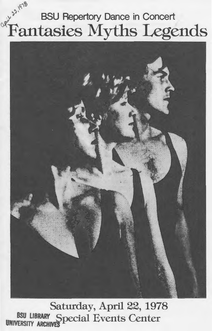# $\sqrt{9}$ **BSU Repertory Dance in Concert** Fantasies Myths Legends



Saturday, April 22, 1978 BSU LIBRARY Special Events Center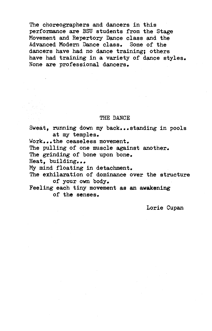The choreographers and dancers in this performance are BSU students from the Stage Movement and Repertory Dance class and the Advanced Modern Dance class. Some of the dancers have had no dance training; others have had training in a variety of dance styles. None are professional dancers.

#### THE DANCE

Sweat, running down my back...standing in pools at my temples.

Work...the ceaseless movement.

The pulling of one muscle against another.

The grinding of bone upon bone.

Heat, building...

My mind floating in detachment.

The exhilaration of dominance over the structure of your own body.

Feeling each tiny movement as an awakening of the senses.

Lorie Cupan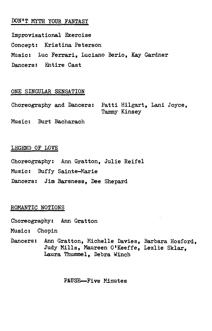# DON'T MYTH YOUR FANTASY

Improvisational Exercise Concept: Kristina Peterson Music: Luc Ferrari, Luciano Berio, Kay Gardner Dancers: Entire Cast

#### ONE SINGULAR SENSATION

Choreography and Dancers: Patti Hilgart, Lani Joyce, Tammy Kinsey

Music: Burt Bacharach

#### LEGEND OF LOVE

Choreography: Ann Gratton, Julie Reifel Music: Buffy Sainte-Marie Dancers: Jim Barsness, Dee Shepard

#### ROMANTIC NOTIONS

- Choreography: Ann Gratton
- Music: Chopin
- Dancers: Ann Gratton, Michelle Davies, Barbara Hosford, Judy Mills, Maureen O'Keeffe, Lezlie Sklar, Laura Thummel, Debra Winch

PAUSE--Five Minutes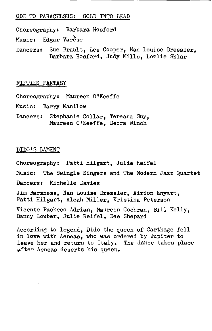#### ODE TO PARACELSUS: GOLD INTO LEAD

Choreography: Barbara Hosford

Music: Edgar Varese

Dancers: Sue Brault, Lee Cooper, Nan Louise Dressler, Barbara Hosford, Judy Mills, Lezlie Sklar

#### FIFTIES FANTASY

Choreography: Maureen 0 1Keeffe

Music: Barry Manilow

Dancers: Stephanie Collar, Tereasa Guy, Maureen O'Keeffe, Debra Winch

### DIDO'S LAMENT

Choreography: Patti Hilgart, Julie Reifel

Music: The Swingle Singers and The Modern Jazz Quartet

Dancers: Michelle Davies

Jim Barsness, Nan Louise Dressler, Airion Enyart, Patti Hilgart, Aleah Miller, Kristina Peterson

Vicente Pacheco Adrian, Maureen Cochran, Bill Kelly, Danny Lowber, Julie Reifel, Dee Shepard

According to legend, Dido the queen of Carthage fell in love with Aeneas, who was ordered by Jupiter to leave her and return to Italy. The dance takes place after Aeneas deserts his queen.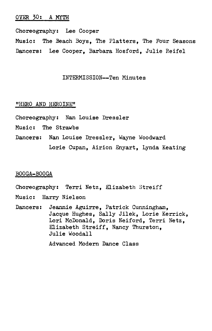#### OVER 30: A MYTH

Choreography: Lee Cooper Music: The Beach Boys, The Platters, The Four Seasons Dancers: Lee Cooper, Barbara Hosford, Julie Reifel

#### INTERMISSION--Ten Minutes

#### "HERO AND HEROINE"

Choreography: Nan Louise Dressler

- Music: The Strawbs
- Dancers: Nan Louise Dressler, Wayne Woodward Lorie Cupan, Airion Enyart, Lynda Keating

# BOOGA-BOOGA

Choreography: Terri Netz, Elizabeth Streiff

Music: Harry Nielson

Dancers: Jeannie Aguirre, Patrick Cunningham, Jacque Hughes, Sally Jilek, Lorie Kerrick, Lori McDonald, Doris Neiford, Terri Netz, Elizabeth Streiff, Nancy Thurston, Julie Woodall

Advanced Modern Dance Class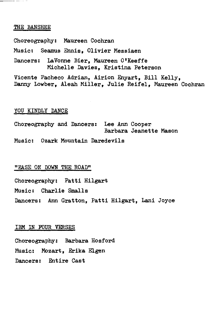#### THE BANSHEE

Choreography: Maureen Cochran Music: Seamus Ennis, Olivier Messiaen Dancers: LaVonne Bier, Maureen O'Keeffe Michelle Davies, Kristina Peterson Vicente Pacheco Adrian, Airion Enyart, Bill Kelly, Danny Lowber, Aleah Miller, Julie Reifel, Maureen Cochran

# YOU KINDLY DANCE

Choreography and Dancers: Lee Ann Cooper Barbara Jeanette Mason Music: Ozark Mountain Daredevils

#### "EASE *ON* DOWN THE ROAD"

Choreography: Patti Hilgart

Music: Charlie Smalls

Dancers: Ann Gratton, Patti Hilgart, Lani Joyce

#### IBM IN FOUR VERSES

Choreography: Barbara Hosford Music: Mozart, Erika Elgen Dancers: Entire Cast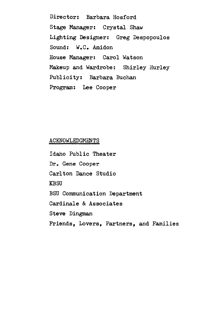Director: Barbara Hosford Stage Manager: Crystal Shaw Lighting Designer: Greg Despopoulos Sound: w.c. Amidon House Manager: Carol Watson Makeup and Wardrobe: Shirley Hurley Publicity: Barbara Buchan Program: Lee Cooper

## ACKNOWLEDGMENTS

Idaho Public Theater Dr. Gene Cooper Carlton Dance Studio KBSU BSU Communication Department Cardinale & Associates Steve Dingman Friends, Lovers, Partners, and Families